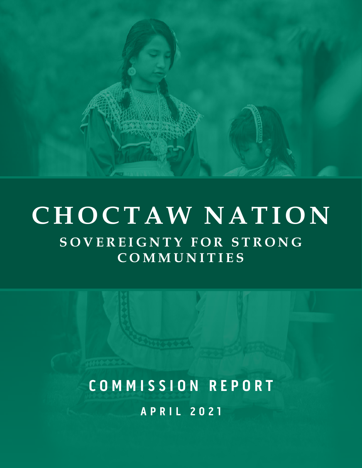

# $\overline{\textbf{SOVEREIGNTY FOR STRONG}}$ **COMMUNITIES CHOCTAW NATION**

**APRIL 2021 COMMISSION REPORT**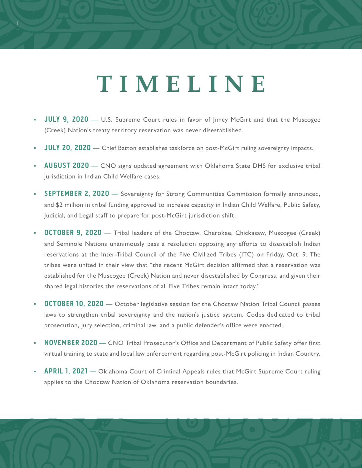# **TIMELINE**

- **JULY 9, 2020** U.S. Supreme Court rules in favor of Jimcy McGirt and that the Muscogee (Creek) Nation's treaty territory reservation was never disestablished.
- **JULY 20, 2020** Chief Batton establishes taskforce on post-McGirt ruling sovereignty impacts.
- **AUGUST 2020** CNO signs updated agreement with Oklahoma State DHS for exclusive tribal jurisdiction in Indian Child Welfare cases.
- **SEPTEMBER 2, 2020**  Sovereignty for Strong Communities Commission formally announced, and \$2 million in tribal funding approved to increase capacity in Indian Child Welfare, Public Safety, Judicial, and Legal staff to prepare for post-McGirt jurisdiction shift.
- **OCTOBER 9, 2020** Tribal leaders of the Choctaw, Cherokee, Chickasaw, Muscogee (Creek) and Seminole Nations unanimously pass a resolution opposing any efforts to disestablish Indian reservations at the Inter-Tribal Council of the Five Civilized Tribes (ITC) on Friday, Oct. 9. The tribes were united in their view that "the recent McGirt decision affirmed that a reservation was established for the Muscogee (Creek) Nation and never disestablished by Congress, and given their shared legal histories the reservations of all Five Tribes remain intact today."
- **OCTOBER 10, 2020**  October legislative session for the Choctaw Nation Tribal Council passes laws to strengthen tribal sovereignty and the nation's justice system. Codes dedicated to tribal prosecution, jury selection, criminal law, and a public defender's office were enacted.
- **NOVEMBER 2020** CNO Tribal Prosecutor's Office and Department of Public Safety offer first virtual training to state and local law enforcement regarding post-McGirt policing in Indian Country.
- **APRIL 1, 2021** Oklahoma Court of Criminal Appeals rules that McGirt Supreme Court ruling applies to the Choctaw Nation of Oklahoma reservation boundaries.

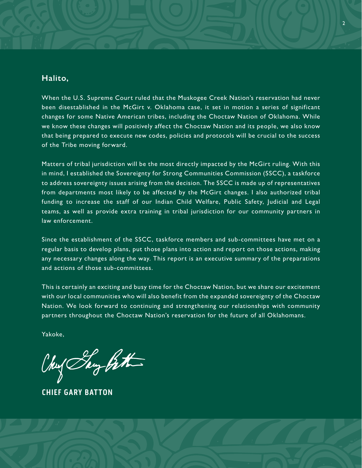#### **Halito,**

When the U.S. Supreme Court ruled that the Muskogee Creek Nation's reservation had never been disestablished in the McGirt v. Oklahoma case, it set in motion a series of significant changes for some Native American tribes, including the Choctaw Nation of Oklahoma. While we know these changes will positively affect the Choctaw Nation and its people, we also know that being prepared to execute new codes, policies and protocols will be crucial to the success of the Tribe moving forward.

Matters of tribal jurisdiction will be the most directly impacted by the McGirt ruling. With this in mind, I established the Sovereignty for Strong Communities Commission (SSCC), a taskforce to address sovereignty issues arising from the decision. The SSCC is made up of representatives from departments most likely to be affected by the McGirt changes. I also authorized tribal funding to increase the staff of our Indian Child Welfare, Public Safety, Judicial and Legal teams, as well as provide extra training in tribal jurisdiction for our community partners in law enforcement.

Since the establishment of the SSCC, taskforce members and sub-committees have met on a regular basis to develop plans, put those plans into action and report on those actions, making any necessary changes along the way. This report is an executive summary of the preparations and actions of those sub-committees.

This is certainly an exciting and busy time for the Choctaw Nation, but we share our excitement with our local communities who will also benefit from the expanded sovereignty of the Choctaw Nation. We look forward to continuing and strengthening our relationships with community partners throughout the Choctaw Nation's reservation for the future of all Oklahomans.

Yakoke,

Chus Say Bath

**CHIEF GARY BATTON**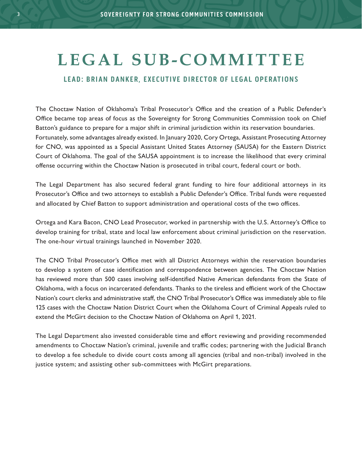### L E G A L S U B - COMMITTEE

#### **LEAD: BRIAN DANKER, EXECUTIVE DIRECTOR OF LEGAL OPERATIONS**

The Choctaw Nation of Oklahoma's Tribal Prosecutor's Office and the creation of a Public Defender's Office became top areas of focus as the Sovereignty for Strong Communities Commission took on Chief Batton's guidance to prepare for a major shift in criminal jurisdiction within its reservation boundaries. Fortunately, some advantages already existed. In January 2020, Cory Ortega, Assistant Prosecuting Attorney for CNO, was appointed as a Special Assistant United States Attorney (SAUSA) for the Eastern District Court of Oklahoma. The goal of the SAUSA appointment is to increase the likelihood that every criminal offense occurring within the Choctaw Nation is prosecuted in tribal court, federal court or both.

The Legal Department has also secured federal grant funding to hire four additional attorneys in its Prosecutor's Office and two attorneys to establish a Public Defender's Office. Tribal funds were requested and allocated by Chief Batton to support administration and operational costs of the two offices.

Ortega and Kara Bacon, CNO Lead Prosecutor, worked in partnership with the U.S. Attorney's Office to develop training for tribal, state and local law enforcement about criminal jurisdiction on the reservation. The one-hour virtual trainings launched in November 2020.

The CNO Tribal Prosecutor's Office met with all District Attorneys within the reservation boundaries to develop a system of case identification and correspondence between agencies. The Choctaw Nation has reviewed more than 500 cases involving self-identified Native American defendants from the State of Oklahoma, with a focus on incarcerated defendants. Thanks to the tireless and efficient work of the Choctaw Nation's court clerks and administrative staff, the CNO Tribal Prosecutor's Office was immediately able to file 125 cases with the Choctaw Nation District Court when the Oklahoma Court of Criminal Appeals ruled to extend the McGirt decision to the Choctaw Nation of Oklahoma on April 1, 2021.

The Legal Department also invested considerable time and effort reviewing and providing recommended amendments to Choctaw Nation's criminal, juvenile and traffic codes; partnering with the Judicial Branch to develop a fee schedule to divide court costs among all agencies (tribal and non-tribal) involved in the justice system; and assisting other sub-committees with McGirt preparations.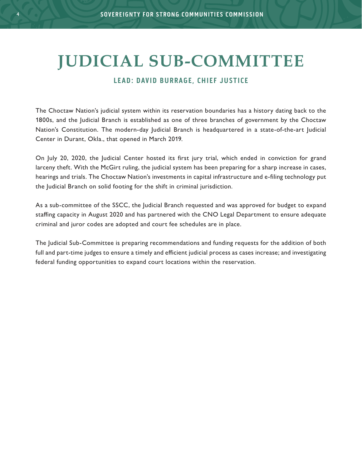4 4

# **JUDICIAL SUB-COMMITTEE**

#### **LEAD: DAVID BURRAGE, CHIEF JUSTICE**

The Choctaw Nation's judicial system within its reservation boundaries has a history dating back to the 1800s, and the Judicial Branch is established as one of three branches of government by the Choctaw Nation's Constitution. The modern-day Judicial Branch is headquartered in a state-of-the-art Judicial Center in Durant, Okla., that opened in March 2019.

On July 20, 2020, the Judicial Center hosted its first jury trial, which ended in conviction for grand larceny theft. With the McGirt ruling, the judicial system has been preparing for a sharp increase in cases, hearings and trials. The Choctaw Nation's investments in capital infrastructure and e-filing technology put the Judicial Branch on solid footing for the shift in criminal jurisdiction.

As a sub-committee of the SSCC, the Judicial Branch requested and was approved for budget to expand staffing capacity in August 2020 and has partnered with the CNO Legal Department to ensure adequate criminal and juror codes are adopted and court fee schedules are in place.

The Judicial Sub-Committee is preparing recommendations and funding requests for the addition of both full and part-time judges to ensure a timely and efficient judicial process as cases increase; and investigating federal funding opportunities to expand court locations within the reservation.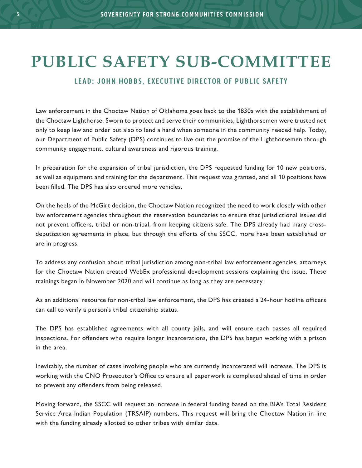### **PUBLIC SAFETY SUB-COMMITTEE**

#### **LEAD: JOHN HOBBS, EXECUTIVE DIRECTOR OF PUBLIC SAFETY**

Law enforcement in the Choctaw Nation of Oklahoma goes back to the 1830s with the establishment of the Choctaw Lighthorse. Sworn to protect and serve their communities, Lighthorsemen were trusted not only to keep law and order but also to lend a hand when someone in the community needed help. Today, our Department of Public Safety (DPS) continues to live out the promise of the Lighthorsemen through community engagement, cultural awareness and rigorous training.

In preparation for the expansion of tribal jurisdiction, the DPS requested funding for 10 new positions, as well as equipment and training for the department. This request was granted, and all 10 positions have been filled. The DPS has also ordered more vehicles.

On the heels of the McGirt decision, the Choctaw Nation recognized the need to work closely with other law enforcement agencies throughout the reservation boundaries to ensure that jurisdictional issues did not prevent officers, tribal or non-tribal, from keeping citizens safe. The DPS already had many crossdeputization agreements in place, but through the efforts of the SSCC, more have been established or are in progress.

To address any confusion about tribal jurisdiction among non-tribal law enforcement agencies, attorneys for the Choctaw Nation created WebEx professional development sessions explaining the issue. These trainings began in November 2020 and will continue as long as they are necessary.

As an additional resource for non-tribal law enforcement, the DPS has created a 24-hour hotline officers can call to verify a person's tribal citizenship status.

The DPS has established agreements with all county jails, and will ensure each passes all required inspections. For offenders who require longer incarcerations, the DPS has begun working with a prison in the area.

Inevitably, the number of cases involving people who are currently incarcerated will increase. The DPS is working with the CNO Prosecutor's Office to ensure all paperwork is completed ahead of time in order to prevent any offenders from being released.

Moving forward, the SSCC will request an increase in federal funding based on the BIA's Total Resident Service Area Indian Population (TRSAIP) numbers. This request will bring the Choctaw Nation in line with the funding already allotted to other tribes with similar data.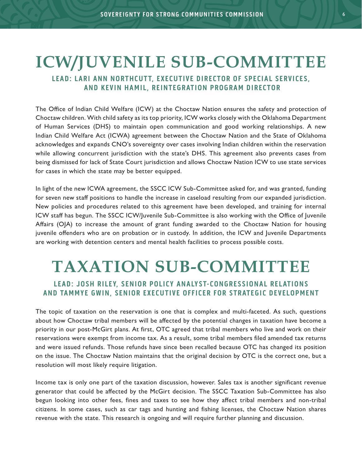### **ICW/JUVENILE SUB-COMMITTEE**

### **LEAD: LARI ANN NORTHCUTT, EXECUTIVE DIRECTOR OF SPECIAL SERVICES, AND KEVIN HAMIL, REINTEGRATION PROGRAM DIRECTOR**

The Office of Indian Child Welfare (ICW) at the Choctaw Nation ensures the safety and protection of Choctaw children. With child safety as its top priority, ICW works closely with the Oklahoma Department of Human Services (DHS) to maintain open communication and good working relationships. A new Indian Child Welfare Act (ICWA) agreement between the Choctaw Nation and the State of Oklahoma acknowledges and expands CNO's sovereignty over cases involving Indian children within the reservation while allowing concurrent jurisdiction with the state's DHS. This agreement also prevents cases from being dismissed for lack of State Court jurisdiction and allows Choctaw Nation ICW to use state services for cases in which the state may be better equipped.

In light of the new ICWA agreement, the SSCC ICW Sub-Committee asked for, and was granted, funding for seven new staff positions to handle the increase in caseload resulting from our expanded jurisdiction. New policies and procedures related to this agreement have been developed, and training for internal ICW staff has begun. The SSCC ICW/Juvenile Sub-Committee is also working with the Office of Juvenile Affairs (OJA) to increase the amount of grant funding awarded to the Choctaw Nation for housing juvenile offenders who are on probation or in custody. In addition, the ICW and Juvenile Departments are working with detention centers and mental health facilities to process possible costs.

# **TAXATION SUB-COMMITTEE**

### **LEAD: JOSH RILEY, SENIOR POLICY ANALYST-CONGRESSIONAL RELATIONS AND TAMMYE GWIN, SENIOR EXECUTIVE OFFICER FOR STRATEGIC DEVELOPMENT**

The topic of taxation on the reservation is one that is complex and multi-faceted. As such, questions about how Choctaw tribal members will be affected by the potential changes in taxation have become a priority in our post-McGirt plans. At first, OTC agreed that tribal members who live and work on their reservations were exempt from income tax. As a result, some tribal members filed amended tax returns and were issued refunds. Those refunds have since been recalled because OTC has changed its position on the issue. The Choctaw Nation maintains that the original decision by OTC is the correct one, but a resolution will most likely require litigation.

Income tax is only one part of the taxation discussion, however. Sales tax is another significant revenue generator that could be affected by the McGirt decision. The SSCC Taxation Sub-Committee has also begun looking into other fees, fines and taxes to see how they affect tribal members and non-tribal citizens. In some cases, such as car tags and hunting and fishing licenses, the Choctaw Nation shares revenue with the state. This research is ongoing and will require further planning and discussion.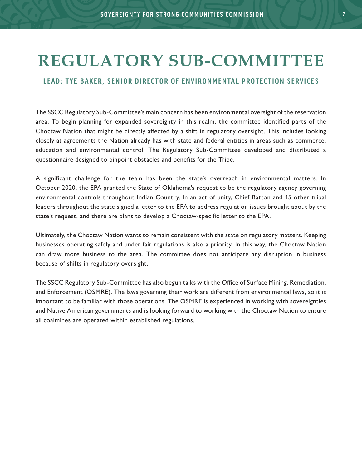### **REGULATORY SUB-COMMITTEE**

#### **LEAD: TYE BAKER, SENIOR DIRECTOR OF ENVIRONMENTAL PROTECTION SERVICES**

The SSCC Regulatory Sub-Committee's main concern has been environmental oversight of the reservation area. To begin planning for expanded sovereignty in this realm, the committee identified parts of the Choctaw Nation that might be directly affected by a shift in regulatory oversight. This includes looking closely at agreements the Nation already has with state and federal entities in areas such as commerce, education and environmental control. The Regulatory Sub-Committee developed and distributed a questionnaire designed to pinpoint obstacles and benefits for the Tribe.

A significant challenge for the team has been the state's overreach in environmental matters. In October 2020, the EPA granted the State of Oklahoma's request to be the regulatory agency governing environmental controls throughout Indian Country. In an act of unity, Chief Batton and 15 other tribal leaders throughout the state signed a letter to the EPA to address regulation issues brought about by the state's request, and there are plans to develop a Choctaw-specific letter to the EPA.

Ultimately, the Choctaw Nation wants to remain consistent with the state on regulatory matters. Keeping businesses operating safely and under fair regulations is also a priority. In this way, the Choctaw Nation can draw more business to the area. The committee does not anticipate any disruption in business because of shifts in regulatory oversight.

The SSCC Regulatory Sub-Committee has also begun talks with the Office of Surface Mining, Remediation, and Enforcement (OSMRE). The laws governing their work are different from environmental laws, so it is important to be familiar with those operations. The OSMRE is experienced in working with sovereignties and Native American governments and is looking forward to working with the Choctaw Nation to ensure all coalmines are operated within established regulations.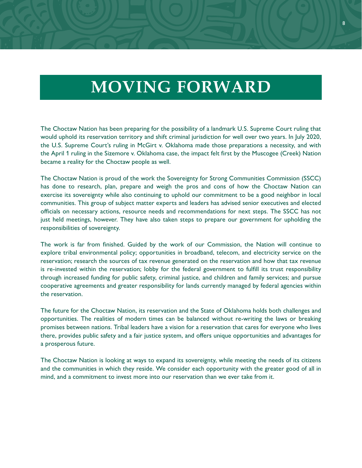### **MOVING FORWARD**

The Choctaw Nation has been preparing for the possibility of a landmark U.S. Supreme Court ruling that would uphold its reservation territory and shift criminal jurisdiction for well over two years. In July 2020, the U.S. Supreme Court's ruling in McGirt v. Oklahoma made those preparations a necessity, and with the April 1 ruling in the Sizemore v. Oklahoma case, the impact felt first by the Muscogee (Creek) Nation became a reality for the Choctaw people as well.

The Choctaw Nation is proud of the work the Sovereignty for Strong Communities Commission (SSCC) has done to research, plan, prepare and weigh the pros and cons of how the Choctaw Nation can exercise its sovereignty while also continuing to uphold our commitment to be a good neighbor in local communities. This group of subject matter experts and leaders has advised senior executives and elected officials on necessary actions, resource needs and recommendations for next steps. The SSCC has not just held meetings, however. They have also taken steps to prepare our government for upholding the responsibilities of sovereignty.

The work is far from finished. Guided by the work of our Commission, the Nation will continue to explore tribal environmental policy; opportunities in broadband, telecom, and electricity service on the reservation; research the sources of tax revenue generated on the reservation and how that tax revenue is re-invested within the reservation; lobby for the federal government to fulfill its trust responsibility through increased funding for public safety, criminal justice, and children and family services; and pursue cooperative agreements and greater responsibility for lands currently managed by federal agencies within the reservation.

The future for the Choctaw Nation, its reservation and the State of Oklahoma holds both challenges and opportunities. The realities of modern times can be balanced without re-writing the laws or breaking promises between nations. Tribal leaders have a vision for a reservation that cares for everyone who lives there, provides public safety and a fair justice system, and offers unique opportunities and advantages for a prosperous future.

The Choctaw Nation is looking at ways to expand its sovereignty, while meeting the needs of its citizens and the communities in which they reside. We consider each opportunity with the greater good of all in mind, and a commitment to invest more into our reservation than we ever take from it.